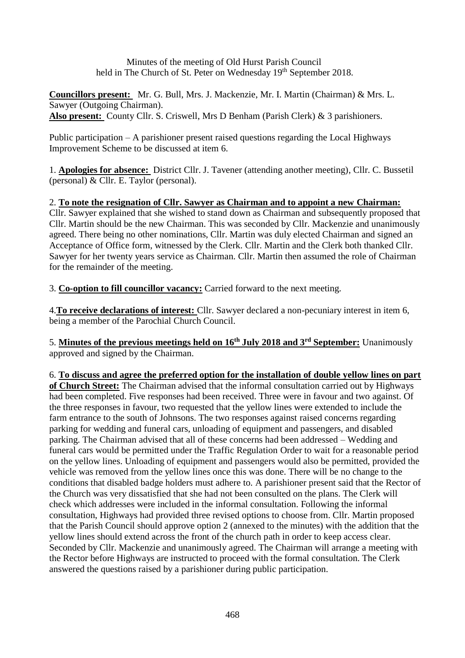Minutes of the meeting of Old Hurst Parish Council held in The Church of St. Peter on Wednesday 19<sup>th</sup> September 2018.

**Councillors present:** Mr. G. Bull, Mrs. J. Mackenzie, Mr. I. Martin (Chairman) & Mrs. L. Sawyer (Outgoing Chairman). **Also present:** County Cllr. S. Criswell, Mrs D Benham (Parish Clerk) & 3 parishioners.

Public participation – A parishioner present raised questions regarding the Local Highways Improvement Scheme to be discussed at item 6.

1. **Apologies for absence:** District Cllr. J. Tavener (attending another meeting), Cllr. C. Bussetil (personal)  $& Cllr. E. Taylor (personal).$ 

2. **To note the resignation of Cllr. Sawyer as Chairman and to appoint a new Chairman:** Cllr. Sawyer explained that she wished to stand down as Chairman and subsequently proposed that Cllr. Martin should be the new Chairman. This was seconded by Cllr. Mackenzie and unanimously agreed. There being no other nominations, Cllr. Martin was duly elected Chairman and signed an Acceptance of Office form, witnessed by the Clerk. Cllr. Martin and the Clerk both thanked Cllr. Sawyer for her twenty years service as Chairman. Cllr. Martin then assumed the role of Chairman for the remainder of the meeting.

3. **Co-option to fill councillor vacancy:** Carried forward to the next meeting.

4.**To receive declarations of interest:** Cllr. Sawyer declared a non-pecuniary interest in item 6, being a member of the Parochial Church Council.

5. **Minutes of the previous meetings held on 16th July 2018 and 3rd September:** Unanimously approved and signed by the Chairman.

6. **To discuss and agree the preferred option for the installation of double yellow lines on part of Church Street:** The Chairman advised that the informal consultation carried out by Highways had been completed. Five responses had been received. Three were in favour and two against. Of the three responses in favour, two requested that the yellow lines were extended to include the farm entrance to the south of Johnsons. The two responses against raised concerns regarding parking for wedding and funeral cars, unloading of equipment and passengers, and disabled parking. The Chairman advised that all of these concerns had been addressed – Wedding and funeral cars would be permitted under the Traffic Regulation Order to wait for a reasonable period on the yellow lines. Unloading of equipment and passengers would also be permitted, provided the vehicle was removed from the yellow lines once this was done. There will be no change to the conditions that disabled badge holders must adhere to. A parishioner present said that the Rector of the Church was very dissatisfied that she had not been consulted on the plans. The Clerk will check which addresses were included in the informal consultation. Following the informal consultation, Highways had provided three revised options to choose from. Cllr. Martin proposed that the Parish Council should approve option 2 (annexed to the minutes) with the addition that the yellow lines should extend across the front of the church path in order to keep access clear. Seconded by Cllr. Mackenzie and unanimously agreed. The Chairman will arrange a meeting with the Rector before Highways are instructed to proceed with the formal consultation. The Clerk answered the questions raised by a parishioner during public participation.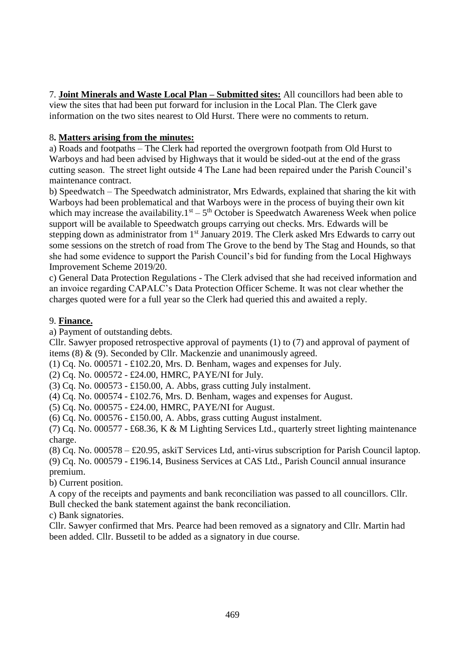7. **Joint Minerals and Waste Local Plan – Submitted sites:** All councillors had been able to view the sites that had been put forward for inclusion in the Local Plan. The Clerk gave information on the two sites nearest to Old Hurst. There were no comments to return.

## 8**. Matters arising from the minutes:**

a) Roads and footpaths – The Clerk had reported the overgrown footpath from Old Hurst to Warboys and had been advised by Highways that it would be sided-out at the end of the grass cutting season. The street light outside 4 The Lane had been repaired under the Parish Council's maintenance contract.

b) Speedwatch – The Speedwatch administrator, Mrs Edwards, explained that sharing the kit with Warboys had been problematical and that Warboys were in the process of buying their own kit which may increase the availability. $1<sup>st</sup> - 5<sup>th</sup>$  October is Speedwatch Awareness Week when police support will be available to Speedwatch groups carrying out checks. Mrs. Edwards will be stepping down as administrator from 1<sup>st</sup> January 2019. The Clerk asked Mrs Edwards to carry out some sessions on the stretch of road from The Grove to the bend by The Stag and Hounds, so that she had some evidence to support the Parish Council's bid for funding from the Local Highways Improvement Scheme 2019/20.

c) General Data Protection Regulations - The Clerk advised that she had received information and an invoice regarding CAPALC's Data Protection Officer Scheme. It was not clear whether the charges quoted were for a full year so the Clerk had queried this and awaited a reply.

## 9. **Finance.**

a) Payment of outstanding debts.

Cllr. Sawyer proposed retrospective approval of payments (1) to (7) and approval of payment of items (8) & (9). Seconded by Cllr. Mackenzie and unanimously agreed.

(1) Cq. No.  $000571 - £102.20$ , Mrs. D. Benham, wages and expenses for July.

(2) Cq. No. 000572 - £24.00, HMRC, PAYE/NI for July.

(3) Cq. No. 000573 - £150.00, A. Abbs, grass cutting July instalment.

(4) Cq. No. 000574 - £102.76, Mrs. D. Benham, wages and expenses for August.

(5) Cq. No. 000575 - £24.00, HMRC, PAYE/NI for August.

(6) Cq. No. 000576 - £150.00, A. Abbs, grass cutting August instalment.

(7) Cq. No. 000577 - £68.36, K & M Lighting Services Ltd., quarterly street lighting maintenance charge.

(8) Cq. No. 000578 – £20.95, askiT Services Ltd, anti-virus subscription for Parish Council laptop. (9) Cq. No. 000579 - £196.14, Business Services at CAS Ltd., Parish Council annual insurance premium.

b) Current position.

A copy of the receipts and payments and bank reconciliation was passed to all councillors. Cllr. Bull checked the bank statement against the bank reconciliation.

c) Bank signatories.

Cllr. Sawyer confirmed that Mrs. Pearce had been removed as a signatory and Cllr. Martin had been added. Cllr. Bussetil to be added as a signatory in due course.